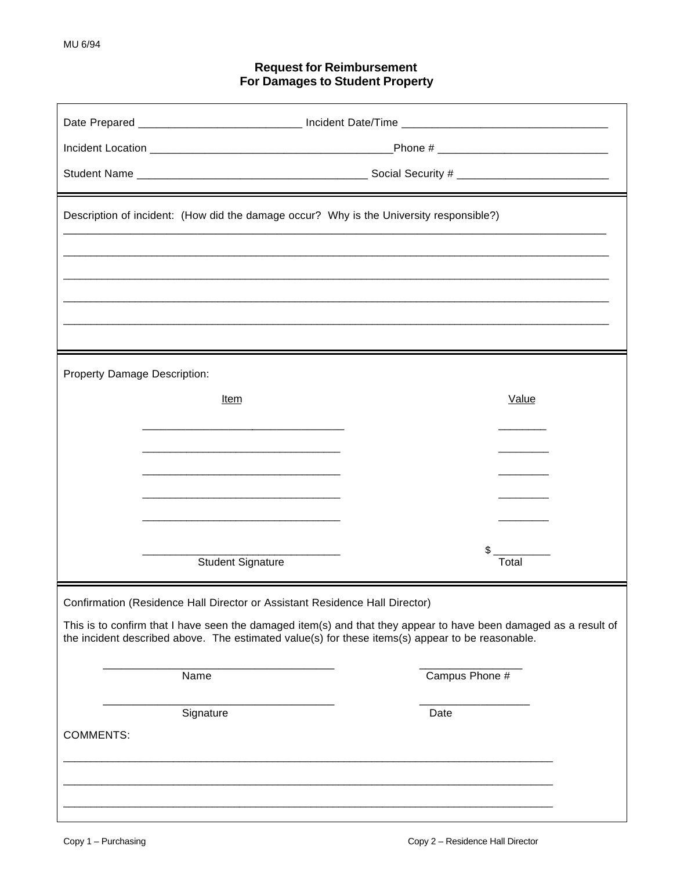## **Request for Reimbursement** For Damages to Student Property

| Description of incident: (How did the damage occur? Why is the University responsible?)                                                                                                                              |                          |                       |
|----------------------------------------------------------------------------------------------------------------------------------------------------------------------------------------------------------------------|--------------------------|-----------------------|
|                                                                                                                                                                                                                      |                          |                       |
| <b>Property Damage Description:</b>                                                                                                                                                                                  |                          |                       |
|                                                                                                                                                                                                                      | <u>Item</u>              | Value                 |
|                                                                                                                                                                                                                      |                          |                       |
|                                                                                                                                                                                                                      |                          |                       |
|                                                                                                                                                                                                                      |                          |                       |
|                                                                                                                                                                                                                      | <b>Student Signature</b> | $\mathsf{S}$<br>Total |
| Confirmation (Residence Hall Director or Assistant Residence Hall Director)                                                                                                                                          |                          |                       |
| This is to confirm that I have seen the damaged item(s) and that they appear to have been damaged as a result of<br>the incident described above. The estimated value(s) for these items(s) appear to be reasonable. |                          |                       |
|                                                                                                                                                                                                                      | Name                     | Campus Phone #        |
| <b>COMMENTS:</b>                                                                                                                                                                                                     | Signature                | Date                  |
|                                                                                                                                                                                                                      |                          |                       |
|                                                                                                                                                                                                                      |                          |                       |